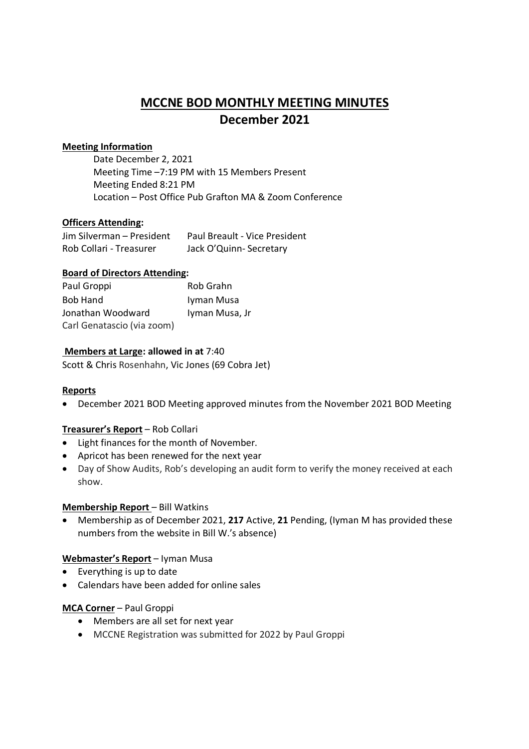# **MCCNE BOD MONTHLY MEETING MINUTES December 2021**

# **Meeting Information**

Date December 2, 2021 Meeting Time –7:19 PM with 15 Members Present Meeting Ended 8:21 PM Location – Post Office Pub Grafton MA & Zoom Conference

# **Officers Attending:**

| Jim Silverman - President | <b>Paul Breault - Vice President</b> |
|---------------------------|--------------------------------------|
| Rob Collari - Treasurer   | Jack O'Quinn-Secretary               |

### **Board of Directors Attending:**

| Paul Groppi                | Rob Grahn      |
|----------------------------|----------------|
| <b>Bob Hand</b>            | Iyman Musa     |
| Jonathan Woodward          | Iyman Musa, Jr |
| Carl Genatascio (via zoom) |                |

# **Members at Large: allowed in at** 7:40

Scott & Chris Rosenhahn, Vic Jones (69 Cobra Jet)

### **Reports**

December 2021 BOD Meeting approved minutes from the November 2021 BOD Meeting

### **Treasurer's Report** – Rob Collari

- Light finances for the month of November.
- Apricot has been renewed for the next year
- Day of Show Audits, Rob's developing an audit form to verify the money received at each show.

### **Membership Report** – Bill Watkins

 Membership as of December 2021, **217** Active, **21** Pending, (Iyman M has provided these numbers from the website in Bill W.'s absence)

### **Webmaster's Report** – Iyman Musa

- Everything is up to date
- Calendars have been added for online sales

### **MCA Corner** – Paul Groppi

- Members are all set for next year
- MCCNE Registration was submitted for 2022 by Paul Groppi